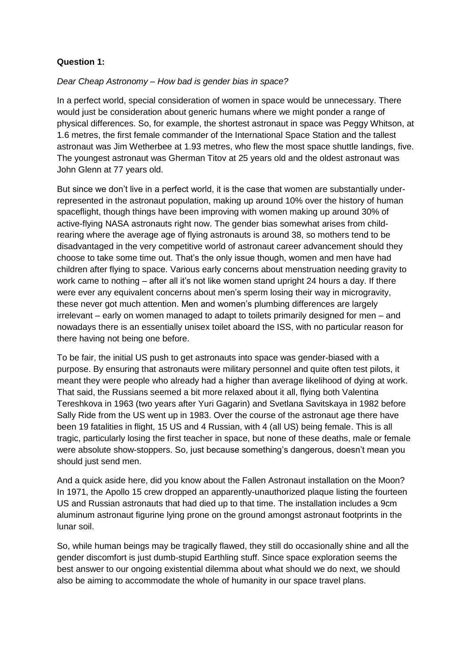## **Question 1:**

## *Dear Cheap Astronomy – How bad is gender bias in space?*

In a perfect world, special consideration of women in space would be unnecessary. There would just be consideration about generic humans where we might ponder a range of physical differences. So, for example, the shortest astronaut in space was Peggy Whitson, at 1.6 metres, the first female commander of the International Space Station and the tallest astronaut was Jim Wetherbee at 1.93 metres, who flew the most space shuttle landings, five. The youngest astronaut was Gherman Titov at 25 years old and the oldest astronaut was John Glenn at 77 years old.

But since we don't live in a perfect world, it is the case that women are substantially underrepresented in the astronaut population, making up around 10% over the history of human spaceflight, though things have been improving with women making up around 30% of active-flying NASA astronauts right now. The gender bias somewhat arises from childrearing where the average age of flying astronauts is around 38, so mothers tend to be disadvantaged in the very competitive world of astronaut career advancement should they choose to take some time out. That's the only issue though, women and men have had children after flying to space. Various early concerns about menstruation needing gravity to work came to nothing – after all it's not like women stand upright 24 hours a day. If there were ever any equivalent concerns about men's sperm losing their way in microgravity, these never got much attention. Men and women's plumbing differences are largely irrelevant – early on women managed to adapt to toilets primarily designed for men – and nowadays there is an essentially unisex toilet aboard the ISS, with no particular reason for there having not being one before.

To be fair, the initial US push to get astronauts into space was gender-biased with a purpose. By ensuring that astronauts were military personnel and quite often test pilots, it meant they were people who already had a higher than average likelihood of dying at work. That said, the Russians seemed a bit more relaxed about it all, flying both Valentina Tereshkova in 1963 (two years after Yuri Gagarin) and Svetlana Savitskaya in 1982 before Sally Ride from the US went up in 1983. Over the course of the astronaut age there have been 19 fatalities in flight, 15 US and 4 Russian, with 4 (all US) being female. This is all tragic, particularly losing the first teacher in space, but none of these deaths, male or female were absolute show-stoppers. So, just because something's dangerous, doesn't mean you should just send men.

And a quick aside here, did you know about the Fallen Astronaut installation on the Moon? In 1971, the Apollo 15 crew dropped an apparently-unauthorized plaque listing the fourteen US and Russian astronauts that had died up to that time. The installation includes a 9cm aluminum astronaut figurine lying prone on the ground amongst astronaut footprints in the lunar soil.

So, while human beings may be tragically flawed, they still do occasionally shine and all the gender discomfort is just dumb-stupid Earthling stuff. Since space exploration seems the best answer to our ongoing existential dilemma about what should we do next, we should also be aiming to accommodate the whole of humanity in our space travel plans.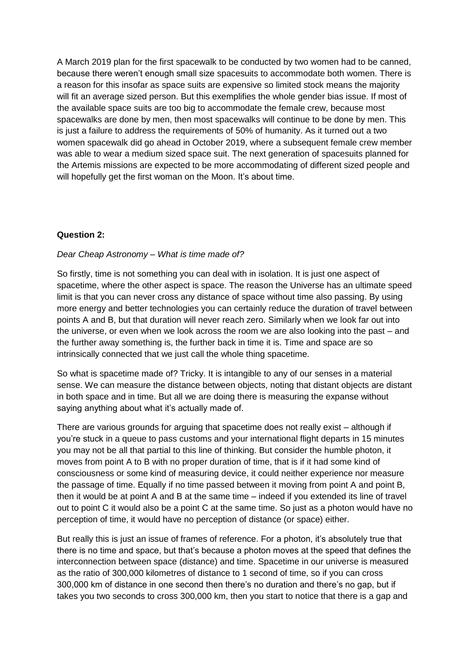A March 2019 plan for the first spacewalk to be conducted by two women had to be canned, because there weren't enough small size spacesuits to accommodate both women. There is a reason for this insofar as space suits are expensive so limited stock means the majority will fit an average sized person. But this exemplifies the whole gender bias issue. If most of the available space suits are too big to accommodate the female crew, because most spacewalks are done by men, then most spacewalks will continue to be done by men. This is just a failure to address the requirements of 50% of humanity. As it turned out a two women spacewalk did go ahead in October 2019, where a subsequent female crew member was able to wear a medium sized space suit. The next generation of spacesuits planned for the Artemis missions are expected to be more accommodating of different sized people and will hopefully get the first woman on the Moon. It's about time.

## **Question 2:**

## *Dear Cheap Astronomy – What is time made of?*

So firstly, time is not something you can deal with in isolation. It is just one aspect of spacetime, where the other aspect is space. The reason the Universe has an ultimate speed limit is that you can never cross any distance of space without time also passing. By using more energy and better technologies you can certainly reduce the duration of travel between points A and B, but that duration will never reach zero. Similarly when we look far out into the universe, or even when we look across the room we are also looking into the past – and the further away something is, the further back in time it is. Time and space are so intrinsically connected that we just call the whole thing spacetime.

So what is spacetime made of? Tricky. It is intangible to any of our senses in a material sense. We can measure the distance between objects, noting that distant objects are distant in both space and in time. But all we are doing there is measuring the expanse without saying anything about what it's actually made of.

There are various grounds for arguing that spacetime does not really exist – although if you're stuck in a queue to pass customs and your international flight departs in 15 minutes you may not be all that partial to this line of thinking. But consider the humble photon, it moves from point A to B with no proper duration of time, that is if it had some kind of consciousness or some kind of measuring device, it could neither experience nor measure the passage of time. Equally if no time passed between it moving from point A and point B, then it would be at point A and B at the same time – indeed if you extended its line of travel out to point C it would also be a point C at the same time. So just as a photon would have no perception of time, it would have no perception of distance (or space) either.

But really this is just an issue of frames of reference. For a photon, it's absolutely true that there is no time and space, but that's because a photon moves at the speed that defines the interconnection between space (distance) and time. Spacetime in our universe is measured as the ratio of 300,000 kilometres of distance to 1 second of time, so if you can cross 300,000 km of distance in one second then there's no duration and there's no gap, but if takes you two seconds to cross 300,000 km, then you start to notice that there is a gap and